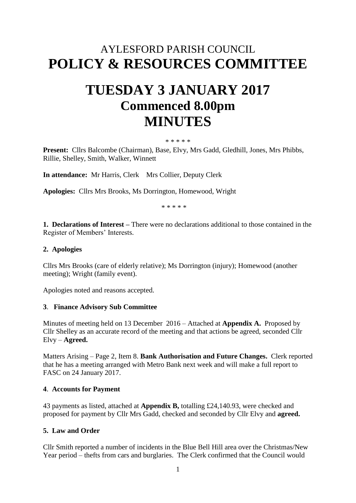## AYLESFORD PARISH COUNCIL **POLICY & RESOURCES COMMITTEE**

# **TUESDAY 3 JANUARY 2017 Commenced 8.00pm MINUTES**

#### \* \* \* \* \*

**Present:** Cllrs Balcombe (Chairman), Base, Elvy, Mrs Gadd, Gledhill, Jones, Mrs Phibbs, Rillie, Shelley, Smith, Walker, Winnett

**In attendance:** Mr Harris, Clerk Mrs Collier, Deputy Clerk

**Apologies:** Cllrs Mrs Brooks, Ms Dorrington, Homewood, Wright

\* \* \* \* \*

**1. Declarations of Interest –** There were no declarations additional to those contained in the Register of Members' Interests.

#### **2. Apologies**

Cllrs Mrs Brooks (care of elderly relative); Ms Dorrington (injury); Homewood (another meeting); Wright (family event).

Apologies noted and reasons accepted.

#### **3**. **Finance Advisory Sub Committee**

Minutes of meeting held on 13 December 2016 – Attached at **Appendix A.** Proposed by Cllr Shelley as an accurate record of the meeting and that actions be agreed, seconded Cllr Elvy – **Agreed.**

Matters Arising – Page 2, Item 8. **Bank Authorisation and Future Changes.** Clerk reported that he has a meeting arranged with Metro Bank next week and will make a full report to FASC on 24 January 2017.

#### **4**. **Accounts for Payment**

43 payments as listed, attached at **Appendix B,** totalling £24,140.93, were checked and proposed for payment by Cllr Mrs Gadd, checked and seconded by Cllr Elvy and **agreed.**

#### **5. Law and Order**

Cllr Smith reported a number of incidents in the Blue Bell Hill area over the Christmas/New Year period – thefts from cars and burglaries. The Clerk confirmed that the Council would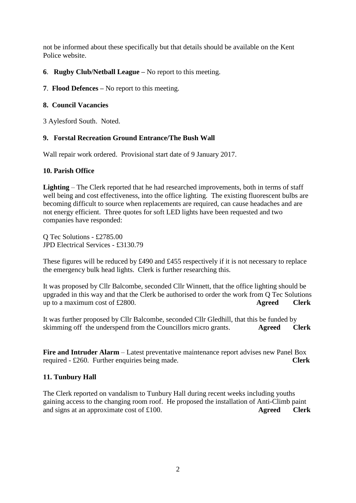not be informed about these specifically but that details should be available on the Kent Police website.

- **6**. **Rugby Club/Netball League –** No report to this meeting.
- **7**. **Flood Defences –** No report to this meeting.

#### **8. Council Vacancies**

3 Aylesford South. Noted.

#### **9. Forstal Recreation Ground Entrance/The Bush Wall**

Wall repair work ordered. Provisional start date of 9 January 2017.

#### **10. Parish Office**

**Lighting** – The Clerk reported that he had researched improvements, both in terms of staff well being and cost effectiveness, into the office lighting. The existing fluorescent bulbs are becoming difficult to source when replacements are required, can cause headaches and are not energy efficient. Three quotes for soft LED lights have been requested and two companies have responded:

Q Tec Solutions - £2785.00 JPD Electrical Services - £3130.79

These figures will be reduced by £490 and £455 respectively if it is not necessary to replace the emergency bulk head lights. Clerk is further researching this.

It was proposed by Cllr Balcombe, seconded Cllr Winnett, that the office lighting should be upgraded in this way and that the Clerk be authorised to order the work from Q Tec Solutions up to a maximum cost of £2800. **Agreed Clerk** 

It was further proposed by Cllr Balcombe, seconded Cllr Gledhill, that this be funded by skimming off the underspend from the Councillors micro grants. **Agreed** Clerk

**Fire and Intruder Alarm** – Latest preventative maintenance report advises new Panel Box required - £260. Further enquiries being made. **Clerk**

#### **11. Tunbury Hall**

The Clerk reported on vandalism to Tunbury Hall during recent weeks including youths gaining access to the changing room roof. He proposed the installation of Anti-Climb paint and signs at an approximate cost of £100. **Agreed Clerk**